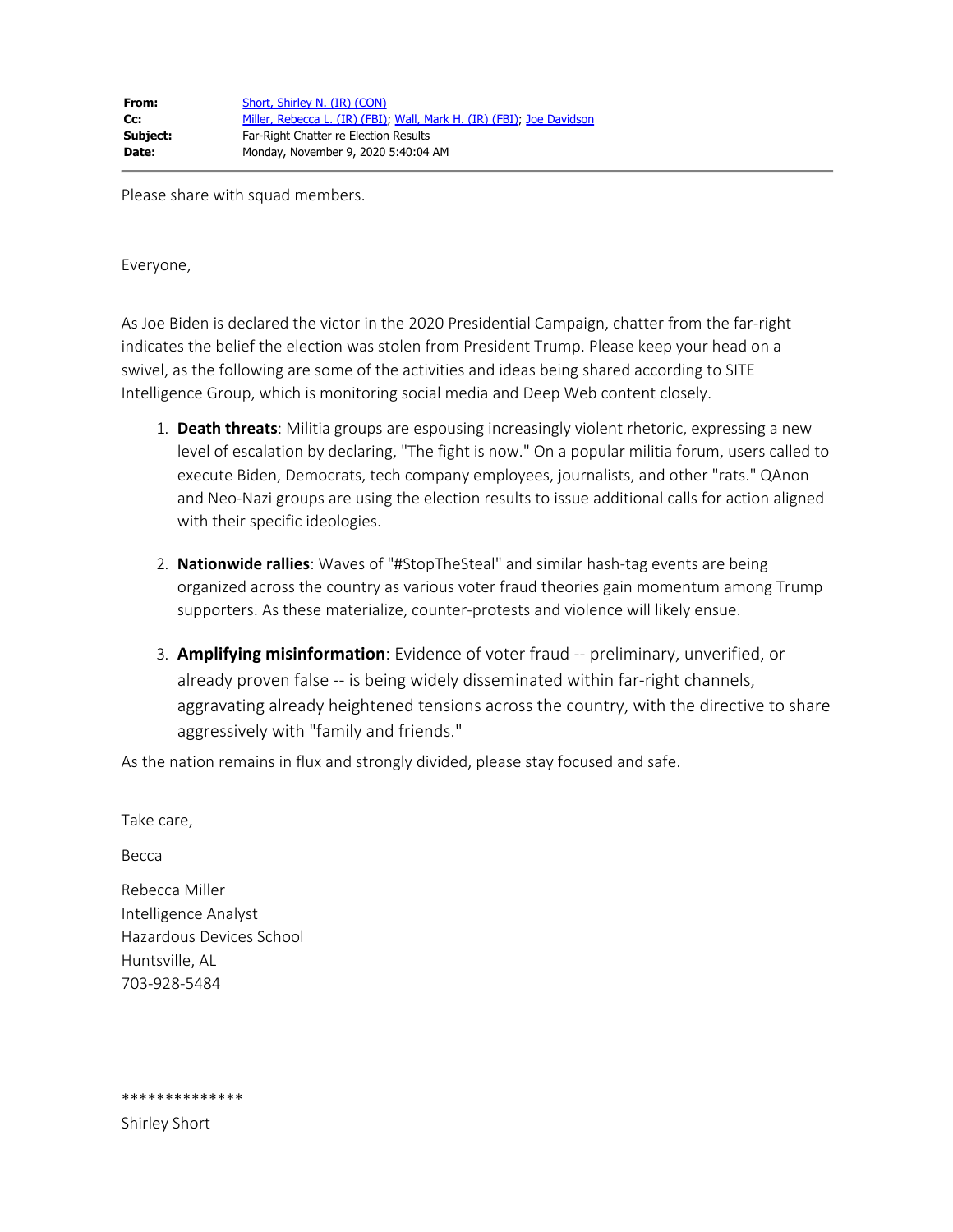Please share with squad members.

Everyone,

As Joe Biden is declared the victor in the 2020 Presidential Campaign, chatter from the far-right indicates the belief the election was stolen from President Trump. Please keep your head on a swivel, as the following are some of the activities and ideas being shared according to SITE Intelligence Group, which is monitoring social media and Deep Web content closely.

- 1. **Death threats**: Militia groups are espousing increasingly violent rhetoric, expressing a new level of escalation by declaring, "The fight is now." On a popular militia forum, users called to execute Biden, Democrats, tech company employees, journalists, and other "rats." QAnon and Neo-Nazi groups are using the election results to issue additional calls for action aligned with their specific ideologies.
- 2. **Nationwide rallies**: Waves of "#StopTheSteal" and similar hash-tag events are being organized across the country as various voter fraud theories gain momentum among Trump supporters. As these materialize, counter-protests and violence will likely ensue.
- 3. **Amplifying misinformation**: Evidence of voter fraud -- preliminary, unverified, or already proven false -- is being widely disseminated within far-right channels, aggravating already heightened tensions across the country, with the directive to share aggressively with "family and friends."

As the nation remains in flux and strongly divided, please stay focused and safe.

Take care,

Becca

Rebecca Miller Intelligence Analyst Hazardous Devices School Huntsville, AL 703-928-5484

\*\*\*\*\*\*\*\*\*\*\*\*\*\*

Shirley Short